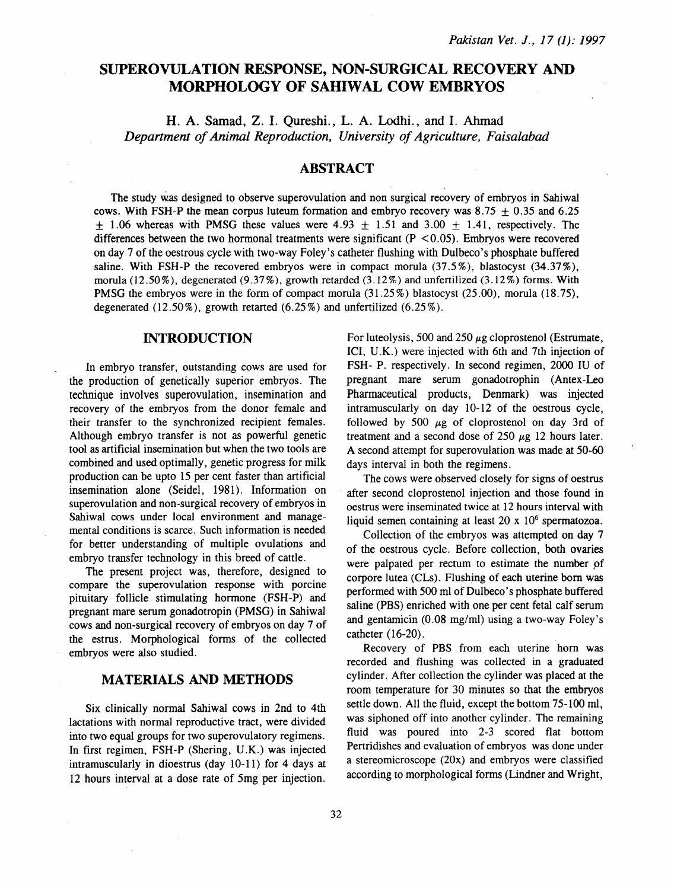# **SUPEROVULATION RESPONSE, NON-SURGICAL RECOVERY** AND **MORPHOLOGY OF SAHIWAL COW EMBRYOS**

**H.** A. Samad, Z. I. Qureshi., L. A. Lodhi., and I. Ahmad *Department of Animal Reproduction, University of Agriculture, Faisalabad* 

# **ABSTRACT**

The study W.as designed to observe superovulation and non surgical recovery of embryos in Sahiwal cows. With FSH-P the mean corpus luteum formation and embryo recovery was 8.75  $\pm$  0.35 and 6.25  $\pm$  1.06 whereas with PMSG these values were 4.93  $\pm$  1.51 and 3.00  $\pm$  1.41, respectively. The differences between the two hormonal treatments were significant  $(P < 0.05)$ . Embryos were recovered on day 7 of the oestrous cycle with two-way Foley's catheter flushing with Dulbeco's phosphate buffered saline. With FSH-P the recovered embryos were in compact morula (37.5%), blastocyst (34.37%), morula  $(12.50\%)$ , degenerated  $(9.37\%)$ , growth retarded  $(3.12\%)$  and unfertilized  $(3.12\%)$  forms. With PMSG the embryos were in the form of compact morula (31.25%) blastocyst (25.00), morula (18.75), degenerated  $(12.50\%)$ , growth retarted  $(6.25\%)$  and unfertilized  $(6.25\%)$ .

#### **INTRODUCTION**

In embryo transfer, outstanding cows are used for the production of genetically superior embryos. The technique involves superovulation, insemination and recovery of the embryos from the donor female and their transfer to the synchronized recipient females. Although embryo transfer is not as powerful genetic tool as artificial insemination but when the two tools are combined and used optimally, genetic progress for milk production can be upto 15 per cent faster than artificial insemination alone (Seidel, 1981). Information on superovulation and non-surgical recovery of embryos in Sahiwal cows under local environment and managemental conditions is scarce. Such information is needed for better understanding of multiple ovulations and embryo transfer technology in this breed of cattle.

The present project was, therefore, designed to compare the superovulation response with porcine pituitary follicle stimulating hormone (FSH-P) and pregnant mare serum gonadotropin (PMSG) in Sahiwal cows and non-surgical recovery of embryos on day 7 of the estrus. Morphological forms of the collected embryos were also studied.

### **MATERIALS AND METHODS**

Six clinically normal Sahiwal cows in 2nd to 4th lactations with normal reproductive tract, were divided into two equal groups for two superovulatory regimens. In first regimen, FSH-P (Shering, U.K.) was injected intramuscularly in dioestrus (day 10-11) for 4 days at 12 hours interval at a dose rate of 5mg per injection.

For luteolysis, 500 and 250  $\mu$ g cloprostenol (Estrumate, ICI, U.K.) were injected with 6th and 7th injection of FSH- P. respectively. In second regimen, 2000 IU of pregnant mare serum gonadotrophin (Antex-Leo Pharmaceutical products, Denmark) was injected intramuscularly on day 10-12 of the oestrous cycle, followed by 500  $\mu$ g of cloprostenol on day 3rd of treatment and a second dose of 250  $\mu$ g 12 hours later. A second attempt for superovulation was made at 50-60 days interval in both the regimens.

The cows were observed closely for signs of oestrus after second cloprostenol injection and those found in oestrus were inseminated twice at 12 hours interval with liquid semen containing at least  $20 \times 10^6$  spermatozoa.

Collection of the embryos was attempted on day 7 of the oestrous cycle. Before collection, both ovaries were palpated per rectum to estimate the number of corpore lutea (CLs). Flushing of each uterine born was performed with 500 ml of Dulbeco's phosphate buffered saline (PBS) enriched with one per cent fetal calf serum and gentamicin (0.08 mg/ml) using a two-way Foley's catheter (16-20).

Recovery of PBS from each uterine hom was recorded and flushing was collected in a graduated cylinder. After collection the cylinder was placed at the room temperature for 30 minutes so that the embryos settle down. All the fluid, except the bottom 75-100 ml, was siphoned off into another cylinder. The remaining fluid was poured into 2-3 scored flat bottom Pertridishes and evaluation of embryos was done under a stereomicroscope (20x) and embryos were classified according to morphological forms (Lindner and Wright,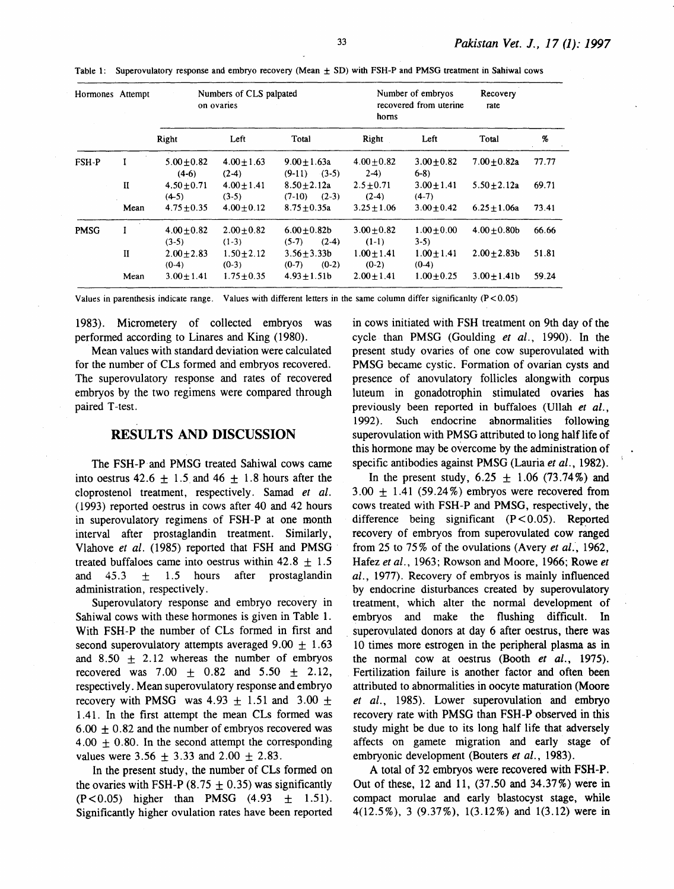| Hormones Attempt |              | Numbers of CLS palpated<br>on ovaries |                          |                                         | Number of embryos<br>recovered from uterine<br>horns |                            | Recovery<br>rate |       |
|------------------|--------------|---------------------------------------|--------------------------|-----------------------------------------|------------------------------------------------------|----------------------------|------------------|-------|
|                  |              | Right                                 | Left                     | Total                                   | Right                                                | Left                       | Total            | %     |
| FSH-P            | I            | $5.00 \pm 0.82$<br>$(4-6)$            | $4.00 + 1.63$<br>$(2-4)$ | $9.00 \pm 1.63a$<br>$(9-11)$<br>$(3-5)$ | $4.00 + 0.82$<br>$2-4$                               | $3.00 + 0.82$<br>$6-8$     | $7.00 + 0.82a$   | 77.77 |
|                  | $\mathbf{I}$ | $4.50 + 0.71$<br>$(4-5)$              | $4.00 + 1.41$<br>$(3-5)$ | $8.50 + 2.12a$<br>$(2-3)$<br>$(7-10)$   | $2.5 + 0.71$<br>$(2-4)$                              | $3.00 \pm 1.41$<br>$(4-7)$ | $5.50 + 2.12a$   | 69.71 |
|                  | Mean         | $4.75 \pm 0.35$                       | $4.00 + 0.12$            | $8.75 + 0.35a$                          | $3.25 + 1.06$                                        | $3.00 + 0.42$              | $6.25 + 1.06a$   | 73.41 |
| <b>PMSG</b>      |              | $4.00 + 0.82$<br>$(3-5)$              | $2.00 + 0.82$<br>$(1-3)$ | $6.00 \pm 0.82 b$<br>$(2-4)$<br>$(5-7)$ | $3.00 \pm 0.82$<br>$(1-1)$                           | $1.00 + 0.00$<br>$3-5)$    | $4.00 + 0.80$    | 66.66 |
|                  | $\mathbf{I}$ | $2.00 \pm 2.83$<br>$(0-4)$            | $1.50 + 2.12$<br>$(0-3)$ | $3.56 + 3.33b$<br>$(0-2)$<br>$(0-7)$    | $1.00 \pm 1.41$<br>$(0-2)$                           | $1.00 \pm 1.41$<br>$(0-4)$ | $2.00 + 2.83b$   | 51.81 |
|                  | Mean         | $3.00 + 1.41$                         | $1.75 + 0.35$            | $4.93 + 1.51b$                          | $2.00 + 1.41$                                        | $1.00 + 0.25$              | $3.00 + 1.41b$   | 59.24 |

Table 1: Superovulatory response and embryo recovery (Mean ± SO) with FSH-P and PMSG treatment in Sahiwal cows

Values in parenthesis indicate range. Values with different letters in the same column differ significanlty  $(P < 0.05)$ 

1983). Micrometery of collected embryos was performed according to Linares and King (1980).

Mean values with standard deviation were calculated for the number of CLs formed and embryos recovered. The superovulatory response and rates of recovered embryos by the two regimens were compared through paired T-test.

## RESULTS AND DISCUSSION

The FSH-P and PMSG treated Sahiwal cows came into oestrus 42.6  $\pm$  1.5 and 46  $\pm$  1.8 hours after the cloprostenol treatment, respectively. Samad *et al.*  (1993) reported oestrus in cows after 40 and 42 hours in superovulatory regimens of FSH-P at one month interval after prostaglandin treatment. Similarly, Vlahove *et al.* (1985) reported that FSH and PMSG treated buffaloes came into oestrus within  $42.8 \pm 1.5$ and  $45.3 \pm 1.5$  hours after prostaglandin administration, respectively.

Superovulatory response and embryo recovery in Sahiwal cows with these hormones is given in Table 1. With FSH-P the number of CLs formed in first and second superovulatory attempts averaged  $9.00 \pm 1.63$ and  $8.50 \pm 2.12$  whereas the number of embryos recovered was 7.00  $\pm$  0.82 and 5.50  $\pm$  2.12, respectively. Mean superovulatory response and embryo recovery with PMSG was  $4.93 \pm 1.51$  and  $3.00 \pm$ 1.41. In the first attempt the mean CLs formed was  $6.00 \pm 0.82$  and the number of embryos recovered was 4.00  $\pm$  0.80. In the second attempt the corresponding values were  $3.56 \pm 3.33$  and  $2.00 \pm 2.83$ .

In the present study, the number of CLs formed on the ovaries with FSH-P (8.75  $\pm$  0.35) was significantly (P<0.05) higher than PMSG  $(4.93 \pm 1.51)$ . Significantly higher ovulation rates have been reported

in cows initiated with FSH treatment on 9th day of the cycle than PMSG (Goulding *et al.,* 1990). In the present study ovaries of one cow superovulated with PMSG became cystic. Formation of ovarian cysts and presence of anovulatory follicles alongwith corpus luteum in gonadotrophin stimulated ovaries has previously been reported in buffaloes (Ullah *et al.,*  1992). Such endocrine abnormalities following superovulation with PMSG attributed to long half life of this hormone may be overcome by the administration of specific antibodies against PMSG (Lauria *et al.,* 1982).

In the present study,  $6.25 \pm 1.06$  (73.74%) and  $3.00 + 1.41$  (59.24%) embryos were recovered from cows treated with FSH-P and PMSG, respectively, the difference being significant  $(P < 0.05)$ . Reported recovery of embryos from superovulated cow ranged from 25 to 75% of the ovulations (Avery *et aL,* 1962, Hafez *et al.,* 1963; Rowson and Moore, 1966; Rowe *et al.,* 1977). Recovery of embryos is mainly influenced by endocrine disturbances created by superovulatory treatment, which alter the normal development of embryos and make the flushing difficult. In superovulated donors at day 6 after oestrus, there was 10 times more estrogen in the peripheral plasma as in the normal cow at oestrus (Booth *et al.,* 1975). Fertilization failure is another factor and often been attributed to abnormalities in oocyte maturation (Moore *et al.,* 1985). Lower superovulation and embryo recovery rate with PMSG than FSH-P observed in this study might be due to its long half life that adversely affects on gamete migration and early stage of embryonic development (Bouters *et al.,* 1983).

A total of 32 embryos were recovered with FSH-P. Out of these, 12 and 11, (37 .50 and 34.37%) were in compact morulae and early blastocyst stage, while 4(12.5% ), 3 (9.37% ), 1(3.12%) and 1(3.12) were in